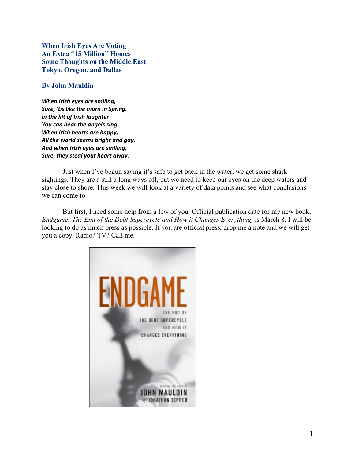When Irish Eyes Are Voting An Extra "15 Million" Homes Some Thoughts on the Middle East Tokyo, Oregon, and Dallas

## By John Mauldin

*When Irish eyes are smiling, Sure, 'tis like the morn in Spring. In the lilt of Irish laughter You can hear the angels sing. When Irish hearts are happy, All the world seems bright and gay. And when Irish eyes are smiling, Sure, they steal your heart away.*

Just when I've begun saying it's safe to get back in the water, we get some shark sightings. They are a still a long ways off, but we need to keep our eyes on the deep waters and stay close to shore. This week we will look at a variety of data points and see what conclusions we can come to.

But first, I need some help from a few of you. Official publication date for my new book, *Endgame: The End of the Debt Supercycle and How it Changes Everything,* is March 8. I will be looking to do as much press as possible. If you are official press, drop me a note and we will get you a copy. Radio? TV? Call me.

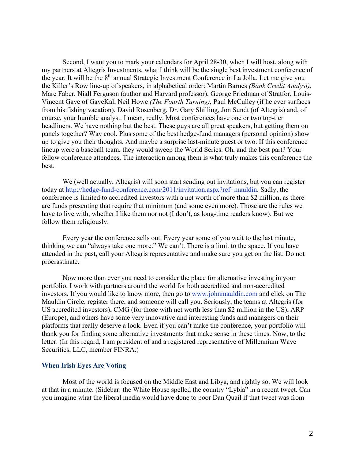Second, I want you to mark your calendars for April 28-30, when I will host, along with my partners at Altegris Investments, what I think will be the single best investment conference of the year. It will be the 8<sup>th</sup> annual Strategic Investment Conference in La Jolla. Let me give you the Killer's Row line-up of speakers, in alphabetical order: Martin Barnes *(Bank Credit Analyst),* Marc Faber, Niall Ferguson (author and Harvard professor), George Friedman of Stratfor, Louis-Vincent Gave of GaveKal, Neil Howe *(The Fourth Turning),* Paul McCulley (if he ever surfaces from his fishing vacation), David Rosenberg, Dr. Gary Shilling, Jon Sundt (of Altegris) and, of course, your humble analyst. I mean, really. Most conferences have one or two top-tier headliners. We have nothing but the best. These guys are all great speakers, but getting them on panels together? Way cool. Plus some of the best hedge-fund managers (personal opinion) show up to give you their thoughts. And maybe a surprise last-minute guest or two. If this conference lineup were a baseball team, they would sweep the World Series. Oh, and the best part? Your fellow conference attendees. The interaction among them is what truly makes this conference the best.

We (well actually, Altegris) will soon start sending out invitations, but you can register today at http://hedge-fund-conference.com/2011/invitation.aspx?ref=mauldin. Sadly, the conference is limited to accredited investors with a net worth of more than \$2 million, as there are funds presenting that require that minimum (and some even more). Those are the rules we have to live with, whether I like them nor not (I don't, as long-time readers know). But we follow them religiously.

Every year the conference sells out. Every year some of you wait to the last minute, thinking we can "always take one more." We can't. There is a limit to the space. If you have attended in the past, call your Altegris representative and make sure you get on the list. Do not procrastinate.

Now more than ever you need to consider the place for alternative investing in your portfolio. I work with partners around the world for both accredited and non-accredited investors. If you would like to know more, then go to www.johnmauldin.com and click on The Mauldin Circle, register there, and someone will call you. Seriously, the teams at Altegris (for US accredited investors), CMG (for those with net worth less than \$2 million in the US), ARP (Europe), and others have some very innovative and interesting funds and managers on their platforms that really deserve a look. Even if you can't make the conference, your portfolio will thank you for finding some alternative investments that make sense in these times. Now, to the letter. (In this regard, I am president of and a registered representative of Millennium Wave Securities, LLC, member FINRA.)

#### When Irish Eyes Are Voting

Most of the world is focused on the Middle East and Libya, and rightly so. We will look at that in a minute. (Sidebar: the White House spelled the country "Lybia" in a recent tweet. Can you imagine what the liberal media would have done to poor Dan Quail if that tweet was from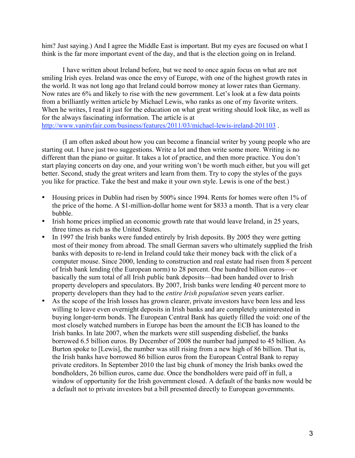him? Just saying.) And I agree the Middle East is important. But my eyes are focused on what I think is the far more important event of the day, and that is the election going on in Ireland.

I have written about Ireland before, but we need to once again focus on what are not smiling Irish eyes. Ireland was once the envy of Europe, with one of the highest growth rates in the world. It was not long ago that Ireland could borrow money at lower rates than Germany. Now rates are 6% and likely to rise with the new government. Let's look at a few data points from a brilliantly written article by Michael Lewis, who ranks as one of my favorite writers. When he writes, I read it just for the education on what great writing should look like, as well as for the always fascinating information. The article is at http://www.vanityfair.com/business/features/2011/03/michael-lewis-ireland-201103 .

(I am often asked about how you can become a financial writer by young people who are starting out. I have just two suggestions. Write a lot and then write some more. Writing is no different than the piano or guitar. It takes a lot of practice, and then more practice. You don't start playing concerts on day one, and your writing won't be worth much either, but you will get better. Second, study the great writers and learn from them. Try to copy the styles of the guys you like for practice. Take the best and make it your own style. Lewis is one of the best.)

- Housing prices in Dublin had risen by 500% since 1994. Rents for homes were often 1% of the price of the home. A \$1-million-dollar home went for \$833 a month. That is a very clear bubble.
- Irish home prices implied an economic growth rate that would leave Ireland, in 25 years, three times as rich as the United States.
- In 1997 the Irish banks were funded entirely by Irish deposits. By 2005 they were getting most of their money from abroad. The small German savers who ultimately supplied the Irish banks with deposits to re-lend in Ireland could take their money back with the click of a computer mouse. Since 2000, lending to construction and real estate had risen from 8 percent of Irish bank lending (the European norm) to 28 percent. One hundred billion euros—or basically the sum total of all Irish public bank deposits—had been handed over to Irish property developers and speculators. By 2007, Irish banks were lending 40 percent more to property developers than they had to the *entire Irish population* seven years earlier.
- As the scope of the Irish losses has grown clearer, private investors have been less and less willing to leave even overnight deposits in Irish banks and are completely uninterested in buying longer-term bonds. The European Central Bank has quietly filled the void: one of the most closely watched numbers in Europe has been the amount the ECB has loaned to the Irish banks. In late 2007, when the markets were still suspending disbelief, the banks borrowed 6.5 billion euros. By December of 2008 the number had jumped to 45 billion. As Burton spoke to [Lewis], the number was still rising from a new high of 86 billion. That is, the Irish banks have borrowed 86 billion euros from the European Central Bank to repay private creditors. In September 2010 the last big chunk of money the Irish banks owed the bondholders, 26 billion euros, came due. Once the bondholders were paid off in full, a window of opportunity for the Irish government closed. A default of the banks now would be a default not to private investors but a bill presented directly to European governments.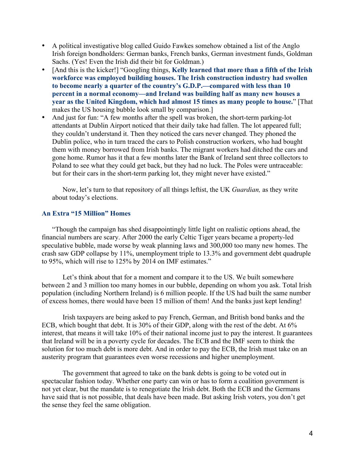- A political investigative blog called Guido Fawkes somehow obtained a list of the Anglo Irish foreign bondholders: German banks, French banks, German investment funds, Goldman Sachs. (Yes! Even the Irish did their bit for Goldman.)
- [And this is the kicker!] "Googling things, Kelly learned that more than a fifth of the Irish workforce was employed building houses. The Irish construction industry had swollen to become nearly a quarter of the country's G.D.P.—compared with less than 10 percent in a normal economy—and Ireland was building half as many new houses a year as the United Kingdom, which had almost 15 times as many people to house." [That makes the US housing bubble look small by comparison.]
- And just for fun: "A few months after the spell was broken, the short-term parking-lot attendants at Dublin Airport noticed that their daily take had fallen. The lot appeared full; they couldn't understand it. Then they noticed the cars never changed. They phoned the Dublin police, who in turn traced the cars to Polish construction workers, who had bought them with money borrowed from Irish banks. The migrant workers had ditched the cars and gone home. Rumor has it that a few months later the Bank of Ireland sent three collectors to Poland to see what they could get back, but they had no luck. The Poles were untraceable: but for their cars in the short-term parking lot, they might never have existed."

Now, let's turn to that repository of all things leftist, the UK *Guardian,* as they write about today's elections.

# An Extra "15 Million" Homes

"Though the campaign has shed disappointingly little light on realistic options ahead, the financial numbers are scary. After 2000 the early Celtic Tiger years became a property-led speculative bubble, made worse by weak planning laws and 300,000 too many new homes. The crash saw GDP collapse by 11%, unemployment triple to 13.3% and government debt quadruple to 95%, which will rise to 125% by 2014 on IMF estimates."

Let's think about that for a moment and compare it to the US. We built somewhere between 2 and 3 million too many homes in our bubble, depending on whom you ask. Total Irish population (including Northern Ireland) is 6 million people. If the US had built the same number of excess homes, there would have been 15 million of them! And the banks just kept lending!

Irish taxpayers are being asked to pay French, German, and British bond banks and the ECB, which bought that debt. It is 30% of their GDP, along with the rest of the debt. At 6% interest, that means it will take 10% of their national income just to pay the interest. It guarantees that Ireland will be in a poverty cycle for decades. The ECB and the IMF seem to think the solution for too much debt is more debt. And in order to pay the ECB, the Irish must take on an austerity program that guarantees even worse recessions and higher unemployment.

The government that agreed to take on the bank debts is going to be voted out in spectacular fashion today. Whether one party can win or has to form a coalition government is not yet clear, but the mandate is to renegotiate the Irish debt. Both the ECB and the Germans have said that is not possible, that deals have been made. But asking Irish voters, you don't get the sense they feel the same obligation.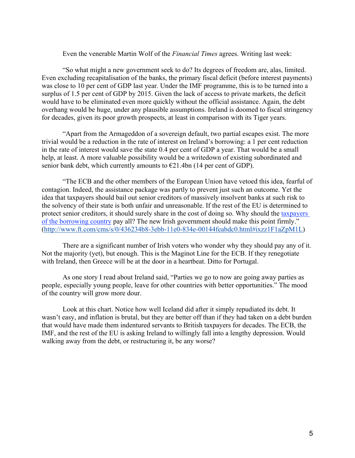#### Even the venerable Martin Wolf of the *Financial Times* agrees. Writing last week:

"So what might a new government seek to do? Its degrees of freedom are, alas, limited. Even excluding recapitalisation of the banks, the primary fiscal deficit (before interest payments) was close to 10 per cent of GDP last year. Under the IMF programme, this is to be turned into a surplus of 1.5 per cent of GDP by 2015. Given the lack of access to private markets, the deficit would have to be eliminated even more quickly without the official assistance. Again, the debt overhang would be huge, under any plausible assumptions. Ireland is doomed to fiscal stringency for decades, given its poor growth prospects, at least in comparison with its Tiger years.

"Apart from the Armageddon of a sovereign default, two partial escapes exist. The more trivial would be a reduction in the rate of interest on Ireland's borrowing: a 1 per cent reduction in the rate of interest would save the state 0.4 per cent of GDP a year. That would be a small help, at least. A more valuable possibility would be a writedown of existing subordinated and senior bank debt, which currently amounts to  $\epsilon$ 21.4bn (14 per cent of GDP).

"The ECB and the other members of the European Union have vetoed this idea, fearful of contagion. Indeed, the assistance package was partly to prevent just such an outcome. Yet the idea that taxpayers should bail out senior creditors of massively insolvent banks at such risk to the solvency of their state is both unfair and unreasonable. If the rest of the EU is determined to protect senior creditors, it should surely share in the cost of doing so. Why should the taxpayers of the borrowing country pay all? The new Irish government should make this point firmly." (http://www.ft.com/cms/s/0/436234b8-3ebb-11e0-834e-00144feabdc0.html#ixzz1F1aZpM1L)

There are a significant number of Irish voters who wonder why they should pay any of it. Not the majority (yet), but enough. This is the Maginot Line for the ECB. If they renegotiate with Ireland, then Greece will be at the door in a heartbeat. Ditto for Portugal.

As one story I read about Ireland said, "Parties we go to now are going away parties as people, especially young people, leave for other countries with better opportunities." The mood of the country will grow more dour.

Look at this chart. Notice how well Iceland did after it simply repudiated its debt. It wasn't easy, and inflation is brutal, but they are better off than if they had taken on a debt burden that would have made them indentured servants to British taxpayers for decades. The ECB, the IMF, and the rest of the EU is asking Ireland to willingly fall into a lengthy depression. Would walking away from the debt, or restructuring it, be any worse?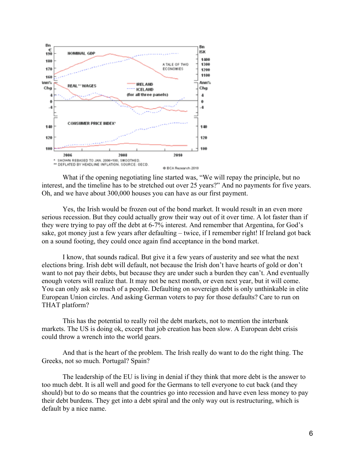

What if the opening negotiating line started was, "We will repay the principle, but no interest, and the timeline has to be stretched out over 25 years?" And no payments for five years. Oh, and we have about 300,000 houses you can have as our first payment.

Yes, the Irish would be frozen out of the bond market. It would result in an even more serious recession. But they could actually grow their way out of it over time. A lot faster than if they were trying to pay off the debt at 6-7% interest. And remember that Argentina, for God's sake, got money just a few years after defaulting – twice, if I remember right! If Ireland got back on a sound footing, they could once again find acceptance in the bond market.

I know, that sounds radical. But give it a few years of austerity and see what the next elections bring. Irish debt will default, not because the Irish don't have hearts of gold or don't want to not pay their debts, but because they are under such a burden they can't. And eventually enough voters will realize that. It may not be next month, or even next year, but it will come. You can only ask so much of a people. Defaulting on sovereign debt is only unthinkable in elite European Union circles. And asking German voters to pay for those defaults? Care to run on THAT platform?

This has the potential to really roil the debt markets, not to mention the interbank markets. The US is doing ok, except that job creation has been slow. A European debt crisis could throw a wrench into the world gears.

And that is the heart of the problem. The Irish really do want to do the right thing. The Greeks, not so much. Portugal? Spain?

The leadership of the EU is living in denial if they think that more debt is the answer to too much debt. It is all well and good for the Germans to tell everyone to cut back (and they should) but to do so means that the countries go into recession and have even less money to pay their debt burdens. They get into a debt spiral and the only way out is restructuring, which is default by a nice name.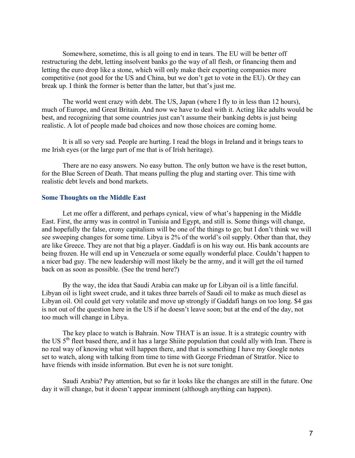Somewhere, sometime, this is all going to end in tears. The EU will be better off restructuring the debt, letting insolvent banks go the way of all flesh, or financing them and letting the euro drop like a stone, which will only make their exporting companies more competitive (not good for the US and China, but we don't get to vote in the EU). Or they can break up. I think the former is better than the latter, but that's just me.

The world went crazy with debt. The US, Japan (where I fly to in less than 12 hours), much of Europe, and Great Britain. And now we have to deal with it. Acting like adults would be best, and recognizing that some countries just can't assume their banking debts is just being realistic. A lot of people made bad choices and now those choices are coming home.

It is all so very sad. People are hurting. I read the blogs in Ireland and it brings tears to me Irish eyes (or the large part of me that is of Irish heritage).

There are no easy answers. No easy button. The only button we have is the reset button, for the Blue Screen of Death. That means pulling the plug and starting over. This time with realistic debt levels and bond markets.

## Some Thoughts on the Middle East

Let me offer a different, and perhaps cynical, view of what's happening in the Middle East. First, the army was in control in Tunisia and Egypt, and still is. Some things will change, and hopefully the false, crony capitalism will be one of the things to go; but I don't think we will see sweeping changes for some time. Libya is 2% of the world's oil supply. Other than that, they are like Greece. They are not that big a player. Gaddafi is on his way out. His bank accounts are being frozen. He will end up in Venezuela or some equally wonderful place. Couldn't happen to a nicer bad guy. The new leadership will most likely be the army, and it will get the oil turned back on as soon as possible. (See the trend here?)

By the way, the idea that Saudi Arabia can make up for Libyan oil is a little fanciful. Libyan oil is light sweet crude, and it takes three barrels of Saudi oil to make as much diesel as Libyan oil. Oil could get very volatile and move up strongly if Gaddafi hangs on too long. \$4 gas is not out of the question here in the US if he doesn't leave soon; but at the end of the day, not too much will change in Libya.

The key place to watch is Bahrain. Now THAT is an issue. It is a strategic country with the US  $5<sup>th</sup>$  fleet based there, and it has a large Shiite population that could ally with Iran. There is no real way of knowing what will happen there, and that is something I have my Google notes set to watch, along with talking from time to time with George Friedman of Stratfor. Nice to have friends with inside information. But even he is not sure tonight.

Saudi Arabia? Pay attention, but so far it looks like the changes are still in the future. One day it will change, but it doesn't appear imminent (although anything can happen).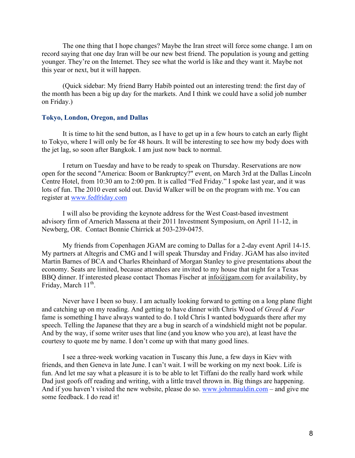The one thing that I hope changes? Maybe the Iran street will force some change. I am on record saying that one day Iran will be our new best friend. The population is young and getting younger. They're on the Internet. They see what the world is like and they want it. Maybe not this year or next, but it will happen.

(Quick sidebar: My friend Barry Habib pointed out an interesting trend: the first day of the month has been a big up day for the markets. And I think we could have a solid job number on Friday.)

### Tokyo, London, Oregon, and Dallas

It is time to hit the send button, as I have to get up in a few hours to catch an early flight to Tokyo, where I will only be for 48 hours. It will be interesting to see how my body does with the jet lag, so soon after Bangkok. I am just now back to normal.

I return on Tuesday and have to be ready to speak on Thursday. Reservations are now open for the second "America: Boom or Bankruptcy?" event, on March 3rd at the Dallas Lincoln Centre Hotel, from 10:30 am to 2:00 pm. It is called "Fed Friday." I spoke last year, and it was lots of fun. The 2010 event sold out. David Walker will be on the program with me. You can register at www.fedfriday.com

I will also be providing the keynote address for the West Coast-based investment advisory firm of Arnerich Massena at their 2011 Investment Symposium, on April 11-12, in Newberg, OR. Contact Bonnie Chirrick at 503-239-0475.

My friends from Copenhagen JGAM are coming to Dallas for a 2-day event April 14-15. My partners at Altegris and CMG and I will speak Thursday and Friday. JGAM has also invited Martin Barnes of BCA and Charles Rheinhard of Morgan Stanley to give presentations about the economy. Seats are limited, because attendees are invited to my house that night for a Texas BBQ dinner. If interested please contact Thomas Fischer at info@jgam.com for availability, by Friday, March  $11<sup>th</sup>$ .

Never have I been so busy. I am actually looking forward to getting on a long plane flight and catching up on my reading. And getting to have dinner with Chris Wood of *Greed & Fear* fame is something I have always wanted to do. I told Chris I wanted bodyguards there after my speech. Telling the Japanese that they are a bug in search of a windshield might not be popular. And by the way, if some writer uses that line (and you know who you are), at least have the courtesy to quote me by name. I don't come up with that many good lines.

I see a three-week working vacation in Tuscany this June, a few days in Kiev with friends, and then Geneva in late June. I can't wait. I will be working on my next book. Life is fun. And let me say what a pleasure it is to be able to let Tiffani do the really hard work while Dad just goofs off reading and writing, with a little travel thrown in. Big things are happening. And if you haven't visited the new website, please do so. www.johnmauldin.com – and give me some feedback. I do read it!